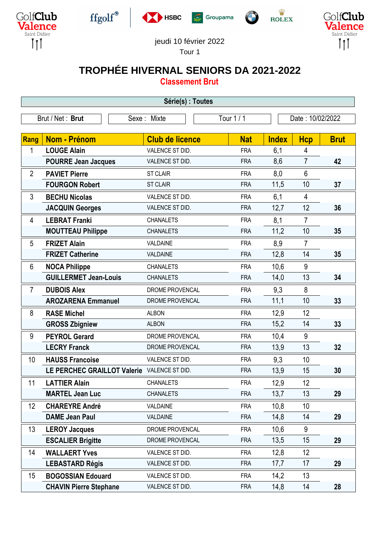











## jeudi 10 février 2022

Tour 1

## **TROPHÉE HIVERNAL SENIORS DA 2021-2022**

**Classement Brut**

| Série(s) : Toutes                                                 |                                             |                        |            |              |                |             |  |
|-------------------------------------------------------------------|---------------------------------------------|------------------------|------------|--------------|----------------|-------------|--|
| Brut / Net: Brut<br>Tour 1 / 1<br>Date: 10/02/2022<br>Sexe: Mixte |                                             |                        |            |              |                |             |  |
|                                                                   |                                             |                        |            |              |                |             |  |
| <b>Rang</b>                                                       | Nom - Prénom                                | <b>Club de licence</b> | <b>Nat</b> | <b>Index</b> | <b>Hcp</b>     | <b>Brut</b> |  |
| 1                                                                 | <b>LOUGE Alain</b>                          | VALENCE ST DID.        | <b>FRA</b> | 6,1          | 4              |             |  |
|                                                                   | <b>POURRE Jean Jacques</b>                  | VALENCE ST DID.        | <b>FRA</b> | 8,6          | $\overline{7}$ | 42          |  |
| $\overline{2}$                                                    | <b>PAVIET Pierre</b>                        | <b>ST CLAIR</b>        | <b>FRA</b> | 8,0          | $6\phantom{1}$ |             |  |
|                                                                   | <b>FOURGON Robert</b>                       | <b>ST CLAIR</b>        | <b>FRA</b> | 11,5         | 10             | 37          |  |
| 3                                                                 | <b>BECHU Nicolas</b>                        | VALENCE ST DID.        | <b>FRA</b> | 6,1          | $\overline{4}$ |             |  |
|                                                                   | <b>JACQUIN Georges</b>                      | VALENCE ST DID.        | <b>FRA</b> | 12,7         | 12             | 36          |  |
| 4                                                                 | <b>LEBRAT Franki</b>                        | <b>CHANALETS</b>       | <b>FRA</b> | 8,1          | $\overline{7}$ |             |  |
|                                                                   | <b>MOUTTEAU Philippe</b>                    | <b>CHANALETS</b>       | <b>FRA</b> | 11,2         | 10             | 35          |  |
| 5                                                                 | <b>FRIZET Alain</b>                         | VALDAINE               | <b>FRA</b> | 8,9          | $\overline{7}$ |             |  |
|                                                                   | <b>FRIZET Catherine</b>                     | VALDAINE               | <b>FRA</b> | 12,8         | 14             | 35          |  |
| 6                                                                 | <b>NOCA Philippe</b>                        | <b>CHANALETS</b>       | <b>FRA</b> | 10,6         | 9              |             |  |
|                                                                   | <b>GUILLERMET Jean-Louis</b>                | <b>CHANALETS</b>       | <b>FRA</b> | 14,0         | 13             | 34          |  |
| $\overline{7}$                                                    | <b>DUBOIS Alex</b>                          | DROME PROVENCAL        | <b>FRA</b> | 9,3          | 8              |             |  |
|                                                                   | <b>AROZARENA Emmanuel</b>                   | DROME PROVENCAL        | <b>FRA</b> | 11,1         | 10             | 33          |  |
| 8                                                                 | <b>RASE Michel</b>                          | <b>ALBON</b>           | <b>FRA</b> | 12,9         | 12             |             |  |
|                                                                   | <b>GROSS Zbigniew</b>                       | <b>ALBON</b>           | <b>FRA</b> | 15,2         | 14             | 33          |  |
| 9                                                                 | <b>PEYROL Gerard</b>                        | DROME PROVENCAL        | <b>FRA</b> | 10,4         | 9              |             |  |
|                                                                   | <b>LECRY Franck</b>                         | DROME PROVENCAL        | <b>FRA</b> | 13,9         | 13             | 32          |  |
| 10                                                                | <b>HAUSS Francoise</b>                      | VALENCE ST DID.        | <b>FRA</b> | 9,3          | 10             |             |  |
|                                                                   | LE PERCHEC GRAILLOT Valerie VALENCE ST DID. |                        | <b>FRA</b> | 13,9         | 15             | 30          |  |
| 11                                                                | <b>LATTIER Alain</b>                        | <b>CHANALETS</b>       | <b>FRA</b> | 12,9         | 12             |             |  |
|                                                                   | <b>MARTEL Jean Luc</b>                      | <b>CHANALETS</b>       | <b>FRA</b> | 13,7         | 13             | 29          |  |
| 12                                                                | <b>CHAREYRE André</b>                       | VALDAINE               | <b>FRA</b> | 10,8         | 10             |             |  |
|                                                                   | <b>DAME Jean Paul</b>                       | VALDAINE               | <b>FRA</b> | 14,8         | 14             | 29          |  |
| 13                                                                | <b>LEROY Jacques</b>                        | DROME PROVENCAL        | <b>FRA</b> | 10,6         | 9              |             |  |
|                                                                   | <b>ESCALIER Brigitte</b>                    | DROME PROVENCAL        | <b>FRA</b> | 13,5         | 15             | 29          |  |
| 14                                                                | <b>WALLAERT Yves</b>                        | VALENCE ST DID.        | <b>FRA</b> | 12,8         | 12             |             |  |
|                                                                   | <b>LEBASTARD Régis</b>                      | VALENCE ST DID.        | <b>FRA</b> | 17,7         | 17             | 29          |  |
| 15                                                                | <b>BOGOSSIAN Edouard</b>                    | VALENCE ST DID.        | <b>FRA</b> | 14,2         | 13             |             |  |
|                                                                   | <b>CHAVIN Pierre Stephane</b>               | VALENCE ST DID.        | <b>FRA</b> | 14,8         | 14             | 28          |  |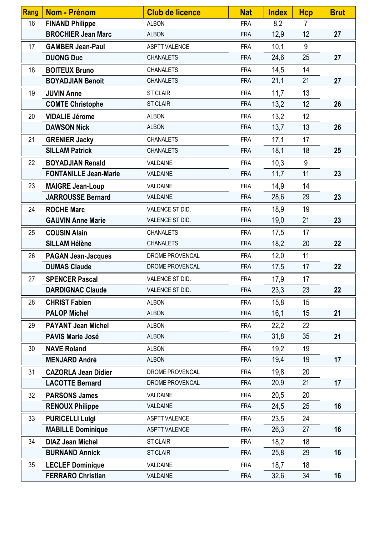| <b>Rang</b> | Nom - Prénom                 | <b>Club de licence</b> | <b>Nat</b> | <b>Index</b> | <b>Hcp</b>     | <b>Brut</b> |
|-------------|------------------------------|------------------------|------------|--------------|----------------|-------------|
| 16          | <b>FINAND Philippe</b>       | <b>ALBON</b>           | <b>FRA</b> | 8,2          | $\overline{7}$ |             |
|             | <b>BROCHIER Jean Marc</b>    | <b>ALBON</b>           | <b>FRA</b> | 12,9         | 12             | 27          |
| 17          | <b>GAMBER Jean-Paul</b>      | <b>ASPTT VALENCE</b>   | <b>FRA</b> | 10,1         | 9              |             |
|             | <b>DUONG Duc</b>             | <b>CHANALETS</b>       | <b>FRA</b> | 24,6         | 25             | 27          |
| 18          | <b>BOITEUX Bruno</b>         | <b>CHANALETS</b>       | <b>FRA</b> | 14,5         | 14             |             |
|             | <b>BOYADJIAN Benoit</b>      | <b>CHANALETS</b>       | <b>FRA</b> | 21,1         | 21             | 27          |
| 19          | <b>JUVIN Anne</b>            | <b>ST CLAIR</b>        | <b>FRA</b> | 11,7         | 13             |             |
|             | <b>COMTE Christophe</b>      | <b>ST CLAIR</b>        | <b>FRA</b> | 13,2         | 12             | 26          |
| 20          | <b>VIDALIE Jérome</b>        | <b>ALBON</b>           | <b>FRA</b> | 13,2         | 12             |             |
|             | <b>DAWSON Nick</b>           | <b>ALBON</b>           | <b>FRA</b> | 13,7         | 13             | 26          |
| 21          | <b>GRENIER Jacky</b>         | <b>CHANALETS</b>       | <b>FRA</b> | 17,1         | 17             |             |
|             | <b>SILLAM Patrick</b>        | <b>CHANALETS</b>       | <b>FRA</b> | 18,1         | 18             | 25          |
| 22          | <b>BOYADJIAN Renald</b>      | VALDAINE               | <b>FRA</b> | 10,3         | 9              |             |
|             | <b>FONTANILLE Jean-Marie</b> | VALDAINE               | <b>FRA</b> | 11,7         | 11             | 23          |
| 23          | <b>MAIGRE Jean-Loup</b>      | VALDAINE               | <b>FRA</b> | 14,9         | 14             |             |
|             | <b>JARROUSSE Bernard</b>     | VALDAINE               | <b>FRA</b> | 28,6         | 29             | 23          |
| 24          | <b>ROCHE Marc</b>            | VALENCE ST DID.        | <b>FRA</b> | 18,9         | 19             |             |
|             | <b>GAUVIN Anne Marie</b>     | VALENCE ST DID.        | <b>FRA</b> | 19,0         | 21             | 23          |
| 25          | <b>COUSIN Alain</b>          | <b>CHANALETS</b>       | <b>FRA</b> | 17,5         | 17             |             |
|             | <b>SILLAM Hélène</b>         | <b>CHANALETS</b>       | <b>FRA</b> | 18,2         | 20             | 22          |
| 26          | <b>PAGAN Jean-Jacques</b>    | DROME PROVENCAL        | <b>FRA</b> | 12,0         | 11             |             |
|             | <b>DUMAS Claude</b>          | DROME PROVENCAL        | <b>FRA</b> | 17,5         | 17             | 22          |
| 27          | <b>SPENCER Pascal</b>        | VALENCE ST DID.        | <b>FRA</b> | 17,9         | 17             |             |
|             | <b>DARDIGNAC Claude</b>      | VALENCE ST DID.        | <b>FRA</b> | 23,3         | 23             | 22          |
| 28          | <b>CHRIST Fabien</b>         | <b>ALBON</b>           | <b>FRA</b> | 15,8         | 15             |             |
|             | <b>PALOP Michel</b>          | <b>ALBON</b>           | <b>FRA</b> | 16,1         | 15             | 21          |
| 29          | <b>PAYANT Jean Michel</b>    | <b>ALBON</b>           | <b>FRA</b> | 22,2         | 22             |             |
|             | <b>PAVIS Marie José</b>      | <b>ALBON</b>           | <b>FRA</b> | 31,8         | 35             | 21          |
| 30          | <b>NAVE Roland</b>           | <b>ALBON</b>           | <b>FRA</b> | 19,2         | 19             |             |
|             | <b>MENJARD André</b>         | <b>ALBON</b>           | <b>FRA</b> | 19,4         | 19             | 17          |
| 31          | <b>CAZORLA Jean Didier</b>   | DROME PROVENCAL        | <b>FRA</b> | 19,8         | 20             |             |
|             | <b>LACOTTE Bernard</b>       | DROME PROVENCAL        | <b>FRA</b> | 20,9         | 21             | 17          |
| 32          | <b>PARSONS James</b>         | VALDAINE               | <b>FRA</b> | 20,5         | 20             |             |
|             | <b>RENOUX Philippe</b>       | VALDAINE               | <b>FRA</b> | 24,5         | 25             | 16          |
| 33          | <b>PURICELLI Luigi</b>       | <b>ASPTT VALENCE</b>   | <b>FRA</b> | 23,5         | 24             |             |
|             | <b>MABILLE Dominique</b>     | <b>ASPTT VALENCE</b>   | <b>FRA</b> | 26,3         | 27             | 16          |
| 34          | <b>DIAZ Jean Michel</b>      | <b>ST CLAIR</b>        | <b>FRA</b> | 18,2         | 18             |             |
|             | <b>BURNAND Annick</b>        | <b>ST CLAIR</b>        | <b>FRA</b> | 25,8         | 29             | 16          |
| 35          | <b>LECLEF Dominique</b>      | VALDAINE               | <b>FRA</b> | 18,7         | 18             |             |
|             | <b>FERRARO Christian</b>     | VALDAINE               | <b>FRA</b> | 32,6         | 34             | 16          |